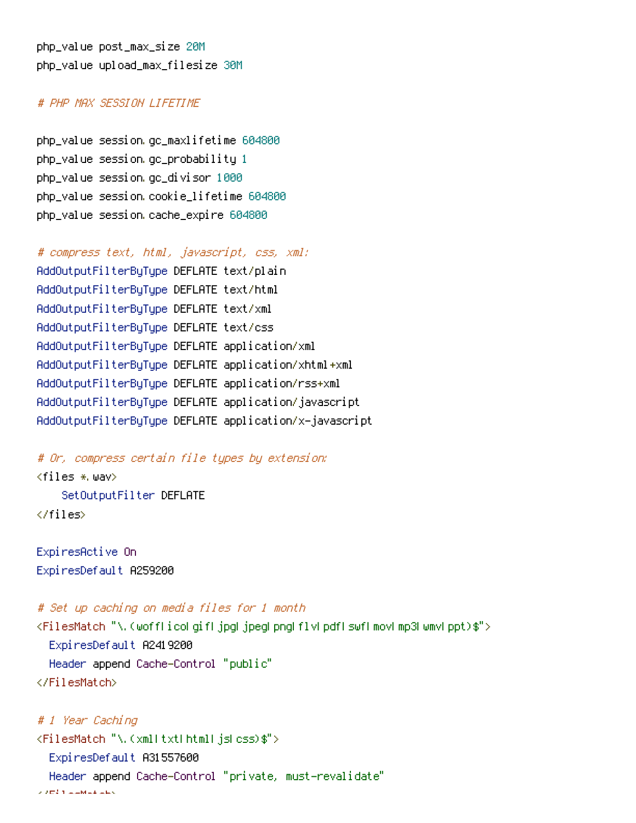# # PHP MAX SESSION LIFETIME

php\_value session.gc\_maxlifetime 604800 php\_value session.gc\_probability 1 php\_value session.gc\_divisor 1000 php\_value session.cookie\_lifetime 604800 php\_value session.cache\_expire 604800

# compress text, html, javascript, css, xml: AddOutputFilterByType DEFLATE text/plain AddOutputFilterByType DEFLATE text/html AddOutputFilterByType DEFLATE text/xml AddOutputFilterByType DEFLATE text/css AddOutputFilterByType DEFLATE application/xml AddOutputFilterByType DEFLATE application/xhtml+xml AddOutputFilterByType DEFLATE application/rss+xml AddOutputFilterByType DEFLATE application/javascript AddOutputFilterByType DEFLATE application/x-javascript

# Or, compress certain file types by extension:  $\langle$ files  $\ast$  wav $\rangle$ SetOutputFilter DEFLATE </files>

ExpiresActive On ExpiresDefault A259200

# Set up caching on media files for 1 month

<FilesMatch "\.(woff|ico|gif|jpg|jpeg|png|flv|pdf|swf|mov|mp3|wmv|ppt)\$">

ExpiresDefault A2419200 Header append Cache-Control "public"

</FilesMatch>

```
# 1 Year Caching
<FilesMatch "\.(xml|txt|html|js|css)$">
  ExpiresDefault A31557600
  Header append Cache-Control "private, must-revalidate"
\times 2 min and \times Matchesters.
```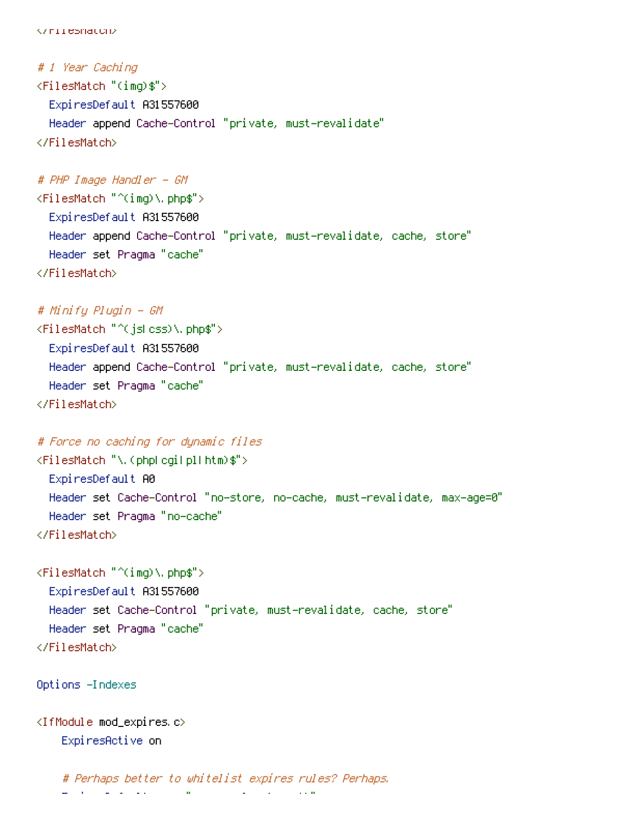```
</FilesMatch>
```

```
# 1 Year Caching
<FilesMatch "(img)$">
  ExpiresDefault A31557600
  Header append Cache-Control "private, must-revalidate"
</FilesMatch>
```
## # PHP Image Handler - GM

<FilesMatch "^(img)\.php\$"> ExpiresDefault A31557600 Header append Cache-Control "private, must-revalidate, cache, store" Header set Pragma "cache" </FilesMatch>

# # Minify Plugin - GM

```
<FilesMatch "^(js|css)\.php$">
  ExpiresDefault A31557600
  Header append Cache-Control "private, must-revalidate, cache, store"
  Header set Pragma "cache"
</FilesMatch>
```
# # Force no caching for dynamic files

```
<FilesMatch "\.(php|cgi|pl|htm)$">
  ExpiresDefault A0
  Header set Cache-Control "no-store, no-cache, must-revalidate, max-age=0"
 Header set Pragma "no-cache"
</FilesMatch>
```
<FilesMatch "^(img)\.php\$"> ExpiresDefault A31557600 Header set Cache-Control "private, must-revalidate, cache, store" Header set Pragma "cache" </FilesMatch>

```
Options -Indexes
```

```
<IfModule mod_expires.c>
    ExpiresActive on
```

```
# Perhaps better to whitelist expires rules? Perhaps.
ExpiresDefault "access plus 1 month"
```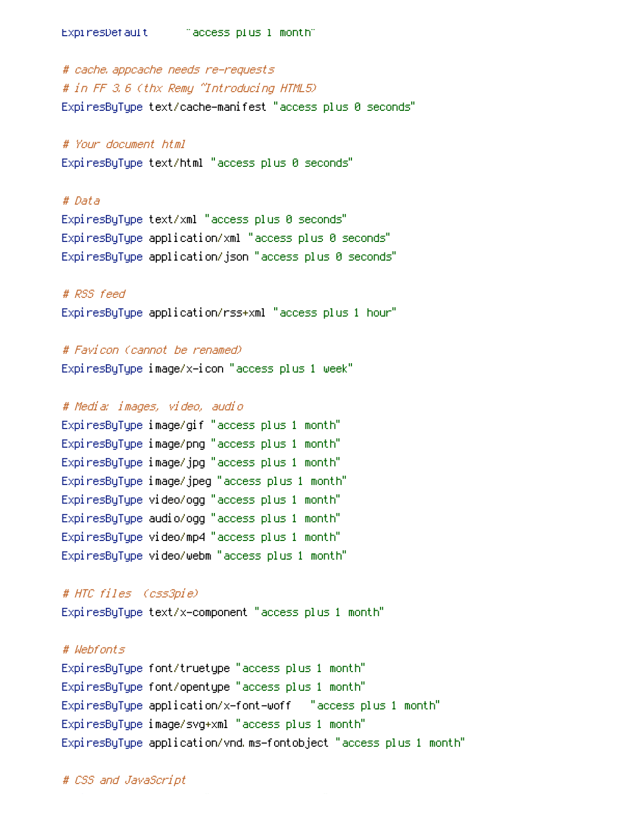ExpiresDefault "access plus 1 month"

# cache.appcache needs re-requests # in FF 3.6 (thx Remy ~Introducing HTML5) ExpiresByType text/cache-manifest "access plus 0 seconds"

# # Your document html

ExpiresByType text/html "access plus 0 seconds"

#### # Data

ExpiresByType text/xml "access plus 0 seconds" ExpiresByType application/xml "access plus 0 seconds" ExpiresByType application/json "access plus 0 seconds"

# # RSS feed

ExpiresByType application/rss+xml "access plus 1 hour"

## # Favicon (cannot be renamed)

ExpiresByType image/x-icon "access plus 1 week"

#### # Media: images, video, audio

ExpiresByType image/gif "access plus 1 month" ExpiresByType image/png "access plus 1 month" ExpiresByType image/jpg "access plus 1 month" ExpiresByType image/jpeg "access plus 1 month" ExpiresByType video/ogg "access plus 1 month" ExpiresByType audio/ogg "access plus 1 month" ExpiresByType video/mp4 "access plus 1 month" ExpiresByType video/webm "access plus 1 month"

### # HTC files (css3pie)

ExpiresByType text/x-component "access plus 1 month"

## # Webfonts

ExpiresByType font/truetype "access plus 1 month" ExpiresByType font/opentype "access plus 1 month" ExpiresByType application/x-font-woff "access plus 1 month" ExpiresByType image/svg+xml "access plus 1 month" ExpiresByType application/vnd.ms-fontobject "access plus 1 month"

#### # CSS and JavaScript